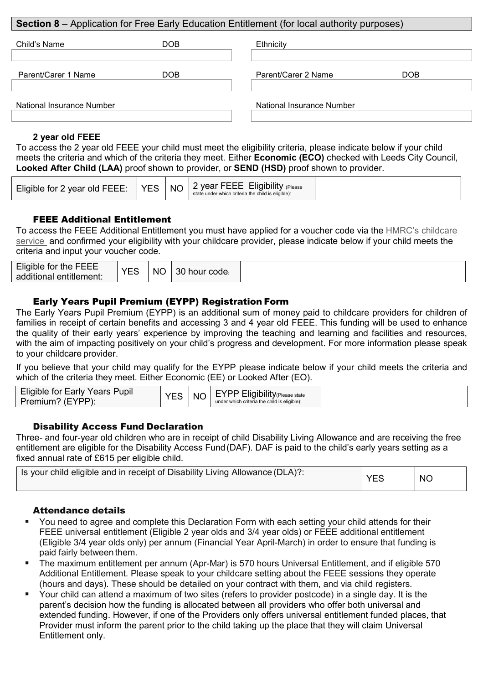## **Section 8** – Application for Free Early Education Entitlement (for local authority purposes)

| Child's Name              | DOB | Ethnicity                 |            |
|---------------------------|-----|---------------------------|------------|
| Parent/Carer 1 Name       | DOB | Parent/Carer 2 Name       | <b>DOB</b> |
| National Insurance Number |     | National Insurance Number |            |

#### **2 year old FEEE**

To access the 2 year old FEEE your child must meet the eligibility criteria, please indicate below if your child meets the criteria and which of the criteria they meet. Either **Economic (ECO)** checked with Leeds City Council, **Looked After Child (LAA)** proof shown to provider, or **SEND (HSD)** proof shown to provider.

| Eligible for 2 year old FEEE: | <b>YES</b> | <b>NO</b> | l 2 year FEEE Eligibility (Please<br>state under which criteria the child is eligible): |  |
|-------------------------------|------------|-----------|-----------------------------------------------------------------------------------------|--|
|-------------------------------|------------|-----------|-----------------------------------------------------------------------------------------|--|

## FEEE Additional Entitlement

To access the FEEE Additional Entitlement you must have applied for a voucher code via the HMRC's childcare service and confirmed your eligibility with your childcare provider, please indicate below if your child meets the criteria and input your voucher code.

| -----<br>Eligible for<br>the<br>----<br>___<br>'entitlement:<br>additional |
|----------------------------------------------------------------------------|
|----------------------------------------------------------------------------|

## Early Years Pupil Premium (EYPP) Registration Form

The Early Years Pupil Premium (EYPP) is an additional sum of money paid to childcare providers for children of families in receipt of certain benefits and accessing 3 and 4 year old FEEE. This funding will be used to enhance the quality of their early years' experience by improving the teaching and learning and facilities and resources, with the aim of impacting positively on your child's progress and development. For more information please speak to your childcare provider.

If you believe that your child may qualify for the EYPP please indicate below if your child meets the criteria and which of the criteria they meet. Either Economic (EE) or Looked After (EO).

| $\cdots$<br>$- \cdot$<br>upil<br>∠ari∨<br>'ears<br><b>Eligible</b><br>tor | - VEC | <b>NO</b> | <br>--<br>v<br>טטי<br><b>Eligibility</b> (Please state |  |
|---------------------------------------------------------------------------|-------|-----------|--------------------------------------------------------|--|
| VDD)                                                                      | ∽     |           | under which criteria the child is eligible):           |  |

## Disability Access Fund Declaration

Three- and four-year old children who are in receipt of child Disability Living Allowance and are receiving the free entitlement are eligible for the Disability Access Fund (DAF). DAF is paid to the child's early years setting as a fixed annual rate of £615 per eligible child.

| Is your child eligible and in receipt of Disability Living Allowance (DLA)?: | <b>YES</b> | <b>NC</b> |  |
|------------------------------------------------------------------------------|------------|-----------|--|
|------------------------------------------------------------------------------|------------|-----------|--|

#### Attendance details

- You need to agree and complete this Declaration Form with each setting your child attends for their FEEE universal entitlement (Eligible 2 year olds and 3/4 year olds) or FEEE additional entitlement (Eligible 3/4 year olds only) per annum (Financial Year April-March) in order to ensure that funding is paid fairly between them.
- The maximum entitlement per annum (Apr-Mar) is 570 hours Universal Entitlement, and if eligible 570 Additional Entitlement. Please speak to your childcare setting about the FEEE sessions they operate (hours and days). These should be detailed on your contract with them, and via child registers.
- Your child can attend a maximum of two sites (refers to provider postcode) in a single day. It is the parent's decision how the funding is allocated between all providers who offer both universal and extended funding. However, if one of the Providers only offers universal entitlement funded places, that Provider must inform the parent prior to the child taking up the place that they will claim Universal Entitlement only.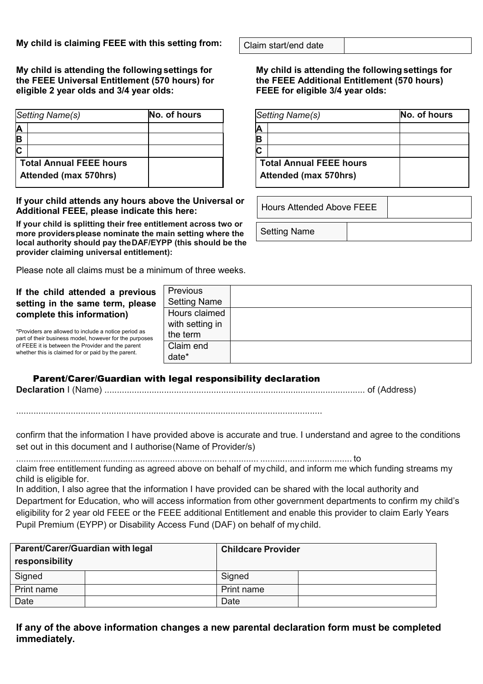**My child is claiming FEEE with this setting from:** 

**My child is attending the following settings for the FEEE Universal Entitlement (570 hours) for eligible 2 year olds and 3/4 year olds:** 

|                                | Setting Name(s)       | No. of hours |
|--------------------------------|-----------------------|--------------|
|                                |                       |              |
|                                |                       |              |
|                                |                       |              |
| <b>Total Annual FEEE hours</b> |                       |              |
|                                | Attended (max 570hrs) |              |

**If your child attends any hours above the Universal or Additional FEEE, please indicate this here:** 

**If your child is splitting their free entitlement across two or more providers please nominate the main setting where the local authority should pay the DAF/EYPP (this should be the provider claiming universal entitlement):**

Please note all claims must be a minimum of three weeks.

## **If the child attended a previous setting in the same term, please complete this information)**

\*Providers are allowed to include a notice period as part of their business model, however for the purposes of FEEE it is between the Provider and the parent whether this is claimed for or paid by the parent.

| Previous            |  |
|---------------------|--|
| <b>Setting Name</b> |  |
| Hours claimed       |  |
| with setting in     |  |
| the term            |  |
| Claim end           |  |
| date*               |  |

# Parent/Carer/Guardian with legal responsibility declaration

**Declaration** I (Name) ......................................................................................................... of (Address)

.................................. .........................................................................................

confirm that the information I have provided above is accurate and true. I understand and agree to the conditions set out in this document and I authorise (Name of Provider/s)

..................................................................................... ............ ..................................... to

claim free entitlement funding as agreed above on behalf of my child, and inform me which funding streams my child is eligible for.

In addition, I also agree that the information I have provided can be shared with the local authority and Department for Education, who will access information from other government departments to confirm my child's eligibility for 2 year old FEEE or the FEEE additional Entitlement and enable this provider to claim Early Years Pupil Premium (EYPP) or Disability Access Fund (DAF) on behalf of my child.

| Parent/Carer/Guardian with legal<br>responsibility |  | <b>Childcare Provider</b> |  |
|----------------------------------------------------|--|---------------------------|--|
| Signed                                             |  | Signed                    |  |
| Print name                                         |  | Print name                |  |
| Date                                               |  | Date                      |  |

## **If any of the above information changes a new parental declaration form must be completed immediately.**

Claim start/end date

**My child is attending the following settings for the FEEE Additional Entitlement (570 hours) FEEE for eligible 3/4 year olds:** 

|   | Setting Name(s)                                                | No. of hours |
|---|----------------------------------------------------------------|--------------|
|   |                                                                |              |
| Β |                                                                |              |
|   |                                                                |              |
|   | <b>Total Annual FEEE hours</b><br><b>Attended (max 570hrs)</b> |              |

Hours Attended Above FEEE

Setting Name